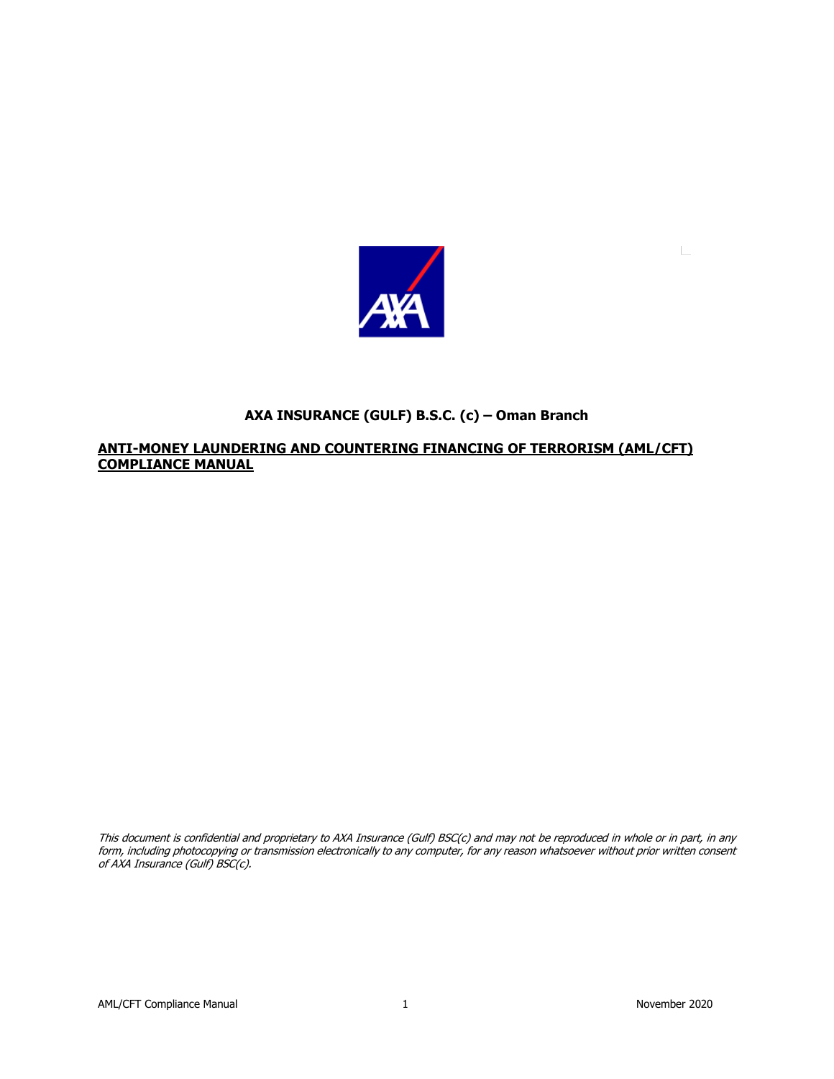

# **AXA INSURANCE (GULF) B.S.C. (c) – Oman Branch**

### **ANTI-MONEY LAUNDERING AND COUNTERING FINANCING OF TERRORISM (AML/CFT) COMPLIANCE MANUAL**

This document is confidential and proprietary to AXA Insurance (Gulf) BSC(c) and may not be reproduced in whole or in part, in any form, including photocopying or transmission electronically to any computer, for any reason whatsoever without prior written consent of AXA Insurance (Gulf) BSC(c).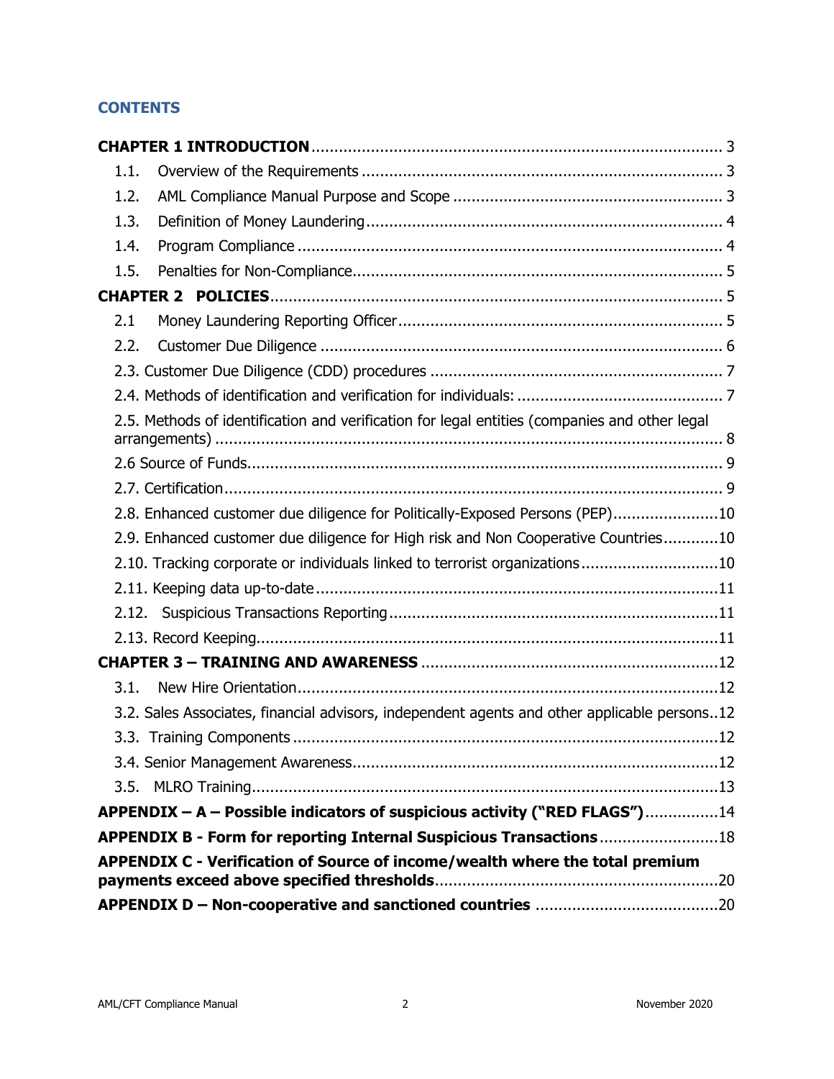# **CONTENTS**

| 1.1. |                                                                                               |  |
|------|-----------------------------------------------------------------------------------------------|--|
| 1.2. |                                                                                               |  |
| 1.3. |                                                                                               |  |
| 1.4. |                                                                                               |  |
| 1.5. |                                                                                               |  |
|      |                                                                                               |  |
| 2.1  |                                                                                               |  |
| 2.2. |                                                                                               |  |
|      |                                                                                               |  |
|      |                                                                                               |  |
|      | 2.5. Methods of identification and verification for legal entities (companies and other legal |  |
|      |                                                                                               |  |
|      |                                                                                               |  |
|      | 2.8. Enhanced customer due diligence for Politically-Exposed Persons (PEP)10                  |  |
|      | 2.9. Enhanced customer due diligence for High risk and Non Cooperative Countries10            |  |
|      | 2.10. Tracking corporate or individuals linked to terrorist organizations10                   |  |
|      |                                                                                               |  |
|      |                                                                                               |  |
|      |                                                                                               |  |
|      |                                                                                               |  |
| 3.1. |                                                                                               |  |
|      | 3.2. Sales Associates, financial advisors, independent agents and other applicable persons12  |  |
|      |                                                                                               |  |
|      |                                                                                               |  |
| 3.5. |                                                                                               |  |
|      | APPENDIX - A - Possible indicators of suspicious activity ("RED FLAGS")14                     |  |
|      | APPENDIX B - Form for reporting Internal Suspicious Transactions18                            |  |
|      | APPENDIX C - Verification of Source of income/wealth where the total premium                  |  |
|      |                                                                                               |  |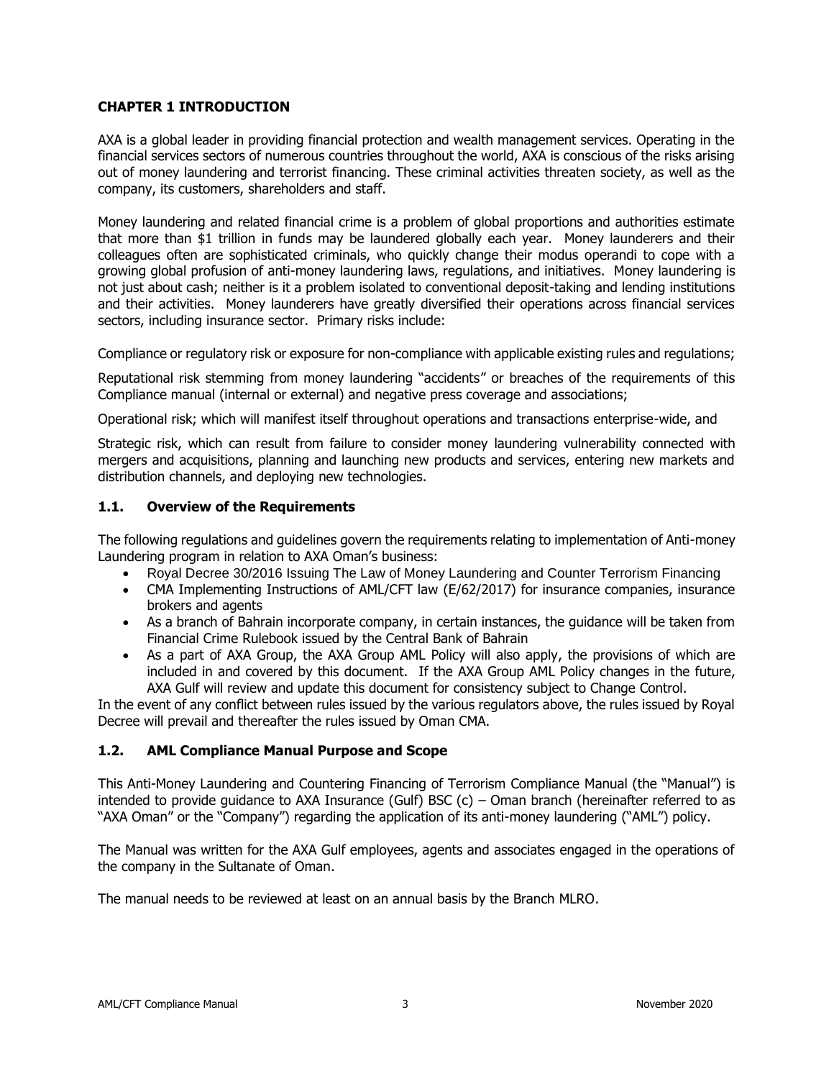### <span id="page-2-0"></span>**CHAPTER 1 INTRODUCTION**

AXA is a global leader in providing financial protection and wealth management services. Operating in the financial services sectors of numerous countries throughout the world, AXA is conscious of the risks arising out of money laundering and terrorist financing. These criminal activities threaten society, as well as the company, its customers, shareholders and staff.

Money laundering and related financial crime is a problem of global proportions and authorities estimate that more than \$1 trillion in funds may be laundered globally each year. Money launderers and their colleagues often are sophisticated criminals, who quickly change their modus operandi to cope with a growing global profusion of anti-money laundering laws, regulations, and initiatives. Money laundering is not just about cash; neither is it a problem isolated to conventional deposit-taking and lending institutions and their activities. Money launderers have greatly diversified their operations across financial services sectors, including insurance sector. Primary risks include:

Compliance or regulatory risk or exposure for non-compliance with applicable existing rules and regulations;

Reputational risk stemming from money laundering "accidents" or breaches of the requirements of this Compliance manual (internal or external) and negative press coverage and associations;

Operational risk; which will manifest itself throughout operations and transactions enterprise-wide, and

Strategic risk, which can result from failure to consider money laundering vulnerability connected with mergers and acquisitions, planning and launching new products and services, entering new markets and distribution channels, and deploying new technologies.

### <span id="page-2-1"></span>**1.1. Overview of the Requirements**

The following regulations and guidelines govern the requirements relating to implementation of Anti-money Laundering program in relation to AXA Oman's business:

- Royal Decree 30/2016 Issuing The Law of Money Laundering and Counter Terrorism Financing
- CMA Implementing Instructions of AML/CFT law (E/62/2017) for insurance companies, insurance brokers and agents
- As a branch of Bahrain incorporate company, in certain instances, the guidance will be taken from Financial Crime Rulebook issued by the Central Bank of Bahrain
- As a part of AXA Group, the AXA Group AML Policy will also apply, the provisions of which are included in and covered by this document. If the AXA Group AML Policy changes in the future, AXA Gulf will review and update this document for consistency subject to Change Control.

In the event of any conflict between rules issued by the various regulators above, the rules issued by Royal Decree will prevail and thereafter the rules issued by Oman CMA.

### <span id="page-2-2"></span>**1.2. AML Compliance Manual Purpose and Scope**

This Anti-Money Laundering and Countering Financing of Terrorism Compliance Manual (the "Manual") is intended to provide guidance to AXA Insurance (Gulf) BSC (c) – Oman branch (hereinafter referred to as "AXA Oman" or the "Company") regarding the application of its anti-money laundering ("AML") policy.

The Manual was written for the AXA Gulf employees, agents and associates engaged in the operations of the company in the Sultanate of Oman.

The manual needs to be reviewed at least on an annual basis by the Branch MLRO.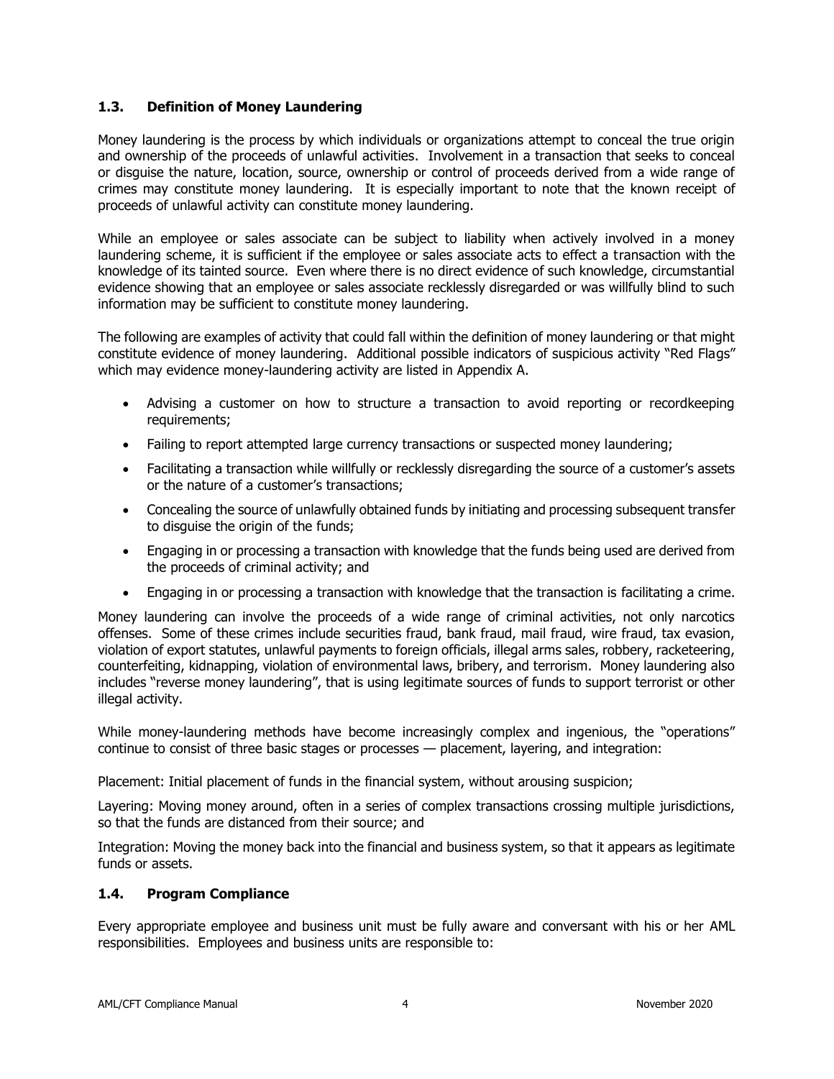### <span id="page-3-0"></span>**1.3. Definition of Money Laundering**

Money laundering is the process by which individuals or organizations attempt to conceal the true origin and ownership of the proceeds of unlawful activities. Involvement in a transaction that seeks to conceal or disguise the nature, location, source, ownership or control of proceeds derived from a wide range of crimes may constitute money laundering. It is especially important to note that the known receipt of proceeds of unlawful activity can constitute money laundering.

While an employee or sales associate can be subject to liability when actively involved in a money laundering scheme, it is sufficient if the employee or sales associate acts to effect a transaction with the knowledge of its tainted source. Even where there is no direct evidence of such knowledge, circumstantial evidence showing that an employee or sales associate recklessly disregarded or was willfully blind to such information may be sufficient to constitute money laundering.

The following are examples of activity that could fall within the definition of money laundering or that might constitute evidence of money laundering. Additional possible indicators of suspicious activity "Red Flags" which may evidence money-laundering activity are listed in Appendix A.

- Advising a customer on how to structure a transaction to avoid reporting or recordkeeping requirements;
- Failing to report attempted large currency transactions or suspected money laundering;
- Facilitating a transaction while willfully or recklessly disregarding the source of a customer's assets or the nature of a customer's transactions;
- Concealing the source of unlawfully obtained funds by initiating and processing subsequent transfer to disguise the origin of the funds;
- Engaging in or processing a transaction with knowledge that the funds being used are derived from the proceeds of criminal activity; and
- Engaging in or processing a transaction with knowledge that the transaction is facilitating a crime.

Money laundering can involve the proceeds of a wide range of criminal activities, not only narcotics offenses. Some of these crimes include securities fraud, bank fraud, mail fraud, wire fraud, tax evasion, violation of export statutes, unlawful payments to foreign officials, illegal arms sales, robbery, racketeering, counterfeiting, kidnapping, violation of environmental laws, bribery, and terrorism. Money laundering also includes "reverse money laundering", that is using legitimate sources of funds to support terrorist or other illegal activity.

While money-laundering methods have become increasingly complex and ingenious, the "operations" continue to consist of three basic stages or processes — placement, layering, and integration:

Placement: Initial placement of funds in the financial system, without arousing suspicion;

Layering: Moving money around, often in a series of complex transactions crossing multiple jurisdictions, so that the funds are distanced from their source; and

Integration: Moving the money back into the financial and business system, so that it appears as legitimate funds or assets.

### <span id="page-3-1"></span>**1.4. Program Compliance**

Every appropriate employee and business unit must be fully aware and conversant with his or her AML responsibilities. Employees and business units are responsible to: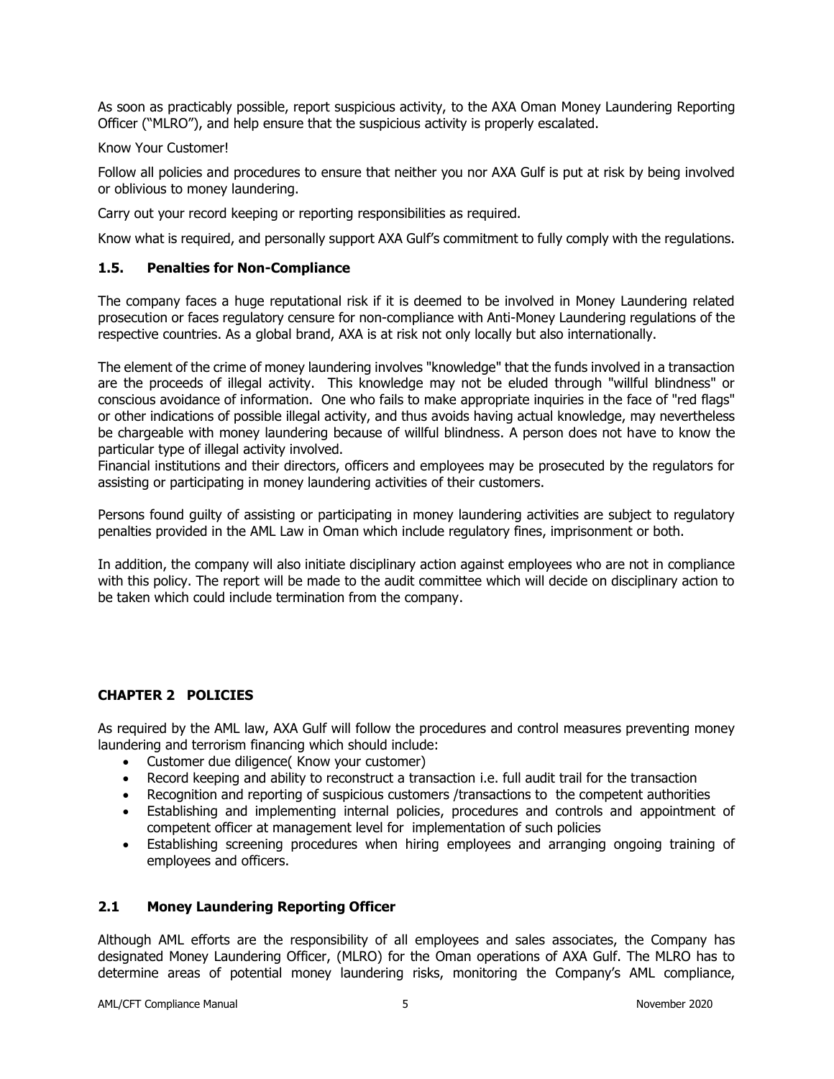As soon as practicably possible, report suspicious activity, to the AXA Oman Money Laundering Reporting Officer ("MLRO"), and help ensure that the suspicious activity is properly escalated.

#### Know Your Customer!

Follow all policies and procedures to ensure that neither you nor AXA Gulf is put at risk by being involved or oblivious to money laundering.

Carry out your record keeping or reporting responsibilities as required.

Know what is required, and personally support AXA Gulf's commitment to fully comply with the regulations.

### <span id="page-4-0"></span>**1.5. Penalties for Non-Compliance**

The company faces a huge reputational risk if it is deemed to be involved in Money Laundering related prosecution or faces regulatory censure for non-compliance with Anti-Money Laundering regulations of the respective countries. As a global brand, AXA is at risk not only locally but also internationally.

The element of the crime of money laundering involves "knowledge" that the funds involved in a transaction are the proceeds of illegal activity. This knowledge may not be eluded through "willful blindness" or conscious avoidance of information. One who fails to make appropriate inquiries in the face of "red flags" or other indications of possible illegal activity, and thus avoids having actual knowledge, may nevertheless be chargeable with money laundering because of willful blindness. A person does not have to know the particular type of illegal activity involved.

Financial institutions and their directors, officers and employees may be prosecuted by the regulators for assisting or participating in money laundering activities of their customers.

Persons found guilty of assisting or participating in money laundering activities are subject to regulatory penalties provided in the AML Law in Oman which include regulatory fines, imprisonment or both.

In addition, the company will also initiate disciplinary action against employees who are not in compliance with this policy. The report will be made to the audit committee which will decide on disciplinary action to be taken which could include termination from the company.

### <span id="page-4-1"></span>**CHAPTER 2 POLICIES**

As required by the AML law, AXA Gulf will follow the procedures and control measures preventing money laundering and terrorism financing which should include:

- Customer due diligence( Know your customer)
- Record keeping and ability to reconstruct a transaction i.e. full audit trail for the transaction
- Recognition and reporting of suspicious customers /transactions to the competent authorities
- Establishing and implementing internal policies, procedures and controls and appointment of competent officer at management level for implementation of such policies
- Establishing screening procedures when hiring employees and arranging ongoing training of employees and officers.

### <span id="page-4-2"></span>**2.1 Money Laundering Reporting Officer**

Although AML efforts are the responsibility of all employees and sales associates, the Company has designated Money Laundering Officer, (MLRO) for the Oman operations of AXA Gulf. The MLRO has to determine areas of potential money laundering risks, monitoring the Company's AML compliance,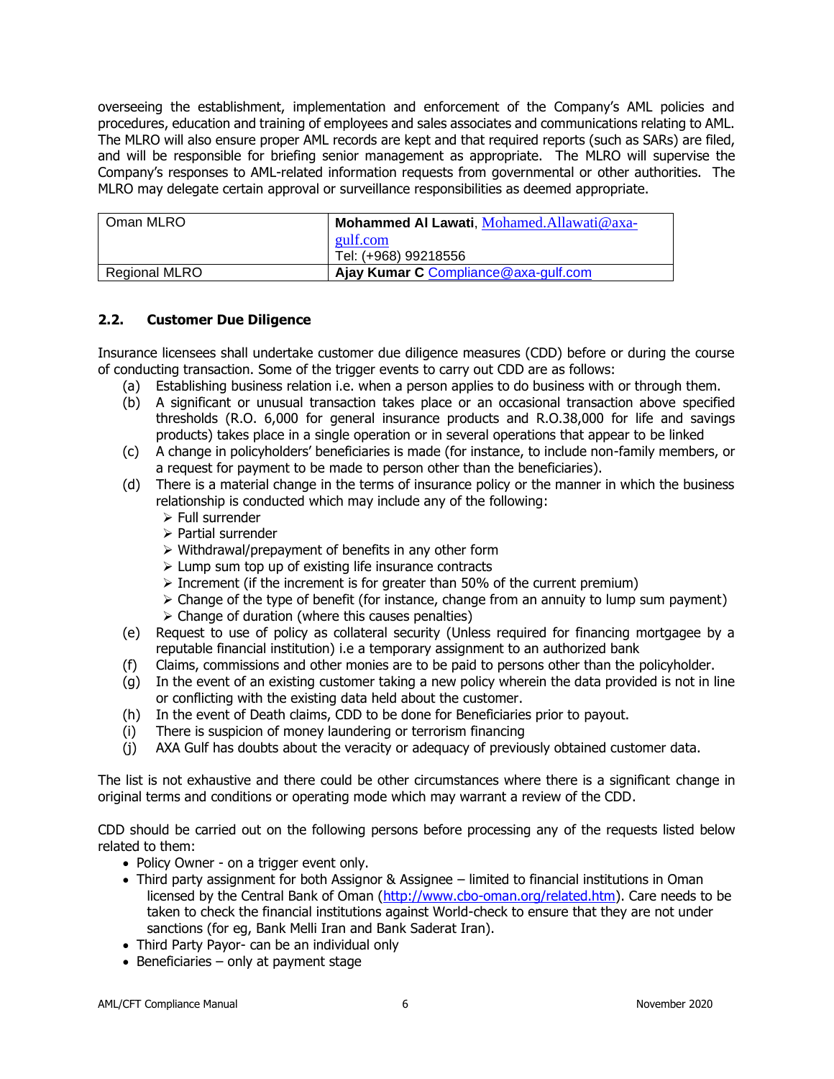overseeing the establishment, implementation and enforcement of the Company's AML policies and procedures, education and training of employees and sales associates and communications relating to AML. The MLRO will also ensure proper AML records are kept and that required reports (such as SARs) are filed, and will be responsible for briefing senior management as appropriate. The MLRO will supervise the Company's responses to AML-related information requests from governmental or other authorities. The MLRO may delegate certain approval or surveillance responsibilities as deemed appropriate.

| Oman MLRO     | Mohammed Al Lawati, Mohamed.Allawati@axa- |
|---------------|-------------------------------------------|
|               | gulf.com<br>Tel: (+968) 99218556          |
|               |                                           |
| Regional MLRO | Ajay Kumar C Compliance@axa-gulf.com      |

### <span id="page-5-0"></span>**2.2. Customer Due Diligence**

Insurance licensees shall undertake customer due diligence measures (CDD) before or during the course of conducting transaction. Some of the trigger events to carry out CDD are as follows:

- (a) Establishing business relation i.e. when a person applies to do business with or through them.
- (b) A significant or unusual transaction takes place or an occasional transaction above specified thresholds (R.O. 6,000 for general insurance products and R.O.38,000 for life and savings products) takes place in a single operation or in several operations that appear to be linked
- (c) A change in policyholders' beneficiaries is made (for instance, to include non-family members, or a request for payment to be made to person other than the beneficiaries).
- (d) There is a material change in the terms of insurance policy or the manner in which the business relationship is conducted which may include any of the following:
	- ➢ Full surrender
	- ➢ Partial surrender
	- ➢ Withdrawal/prepayment of benefits in any other form
	- ➢ Lump sum top up of existing life insurance contracts
	- $\triangleright$  Increment (if the increment is for greater than 50% of the current premium)
	- $\triangleright$  Change of the type of benefit (for instance, change from an annuity to lump sum payment)
	- $\triangleright$  Change of duration (where this causes penalties)
- (e) Request to use of policy as collateral security (Unless required for financing mortgagee by a reputable financial institution) i.e a temporary assignment to an authorized bank
- (f) Claims, commissions and other monies are to be paid to persons other than the policyholder.
- (g) In the event of an existing customer taking a new policy wherein the data provided is not in line or conflicting with the existing data held about the customer.
- (h) In the event of Death claims, CDD to be done for Beneficiaries prior to payout.
- (i) There is suspicion of money laundering or terrorism financing
- (j) AXA Gulf has doubts about the veracity or adequacy of previously obtained customer data.

The list is not exhaustive and there could be other circumstances where there is a significant change in original terms and conditions or operating mode which may warrant a review of the CDD.

CDD should be carried out on the following persons before processing any of the requests listed below related to them:

- Policy Owner on a trigger event only.
- Third party assignment for both Assignor & Assignee limited to financial institutions in Oman licensed by the Central Bank of Oman [\(http://www.cbo-oman.org/related.htm\)](http://www.cbo-oman.org/related.htm). Care needs to be taken to check the financial institutions against World-check to ensure that they are not under sanctions (for eg, Bank Melli Iran and Bank Saderat Iran).
- Third Party Payor- can be an individual only
- Beneficiaries only at payment stage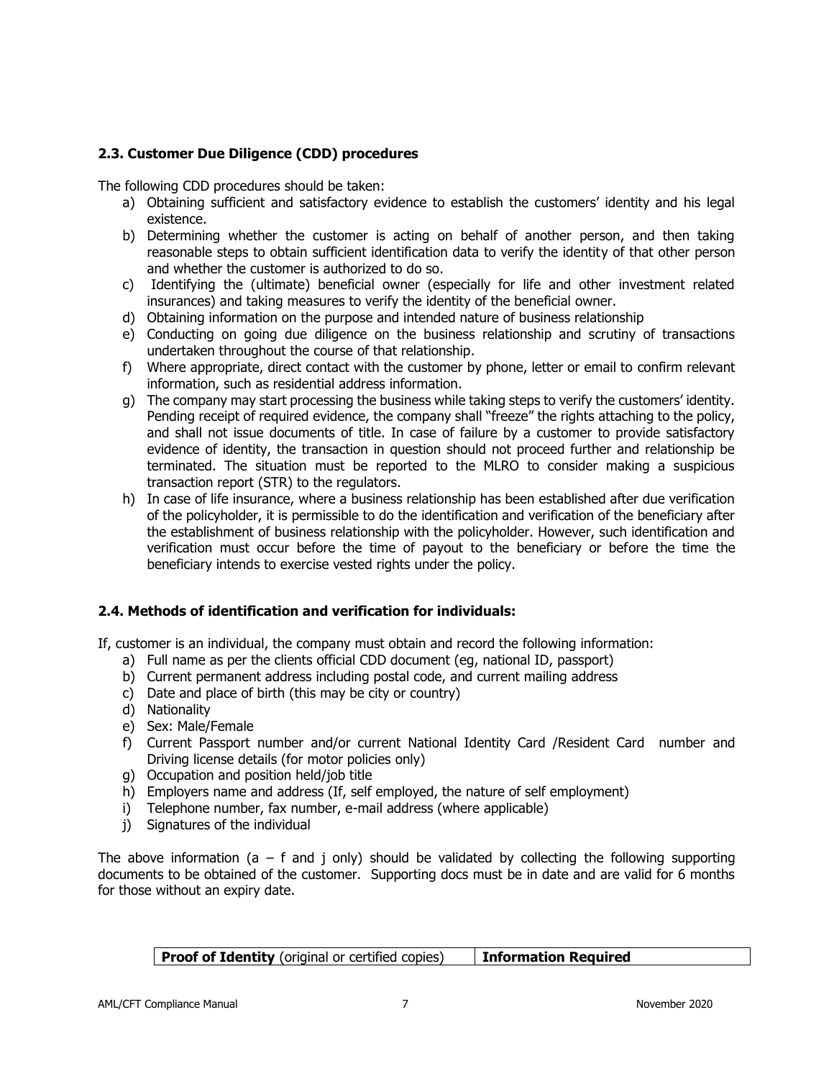# <span id="page-6-0"></span>**2.3. Customer Due Diligence (CDD) procedures**

The following CDD procedures should be taken:

- a) Obtaining sufficient and satisfactory evidence to establish the customers' identity and his legal existence.
- b) Determining whether the customer is acting on behalf of another person, and then taking reasonable steps to obtain sufficient identification data to verify the identity of that other person and whether the customer is authorized to do so.
- c) Identifying the (ultimate) beneficial owner (especially for life and other investment related insurances) and taking measures to verify the identity of the beneficial owner.
- d) Obtaining information on the purpose and intended nature of business relationship
- e) Conducting on going due diligence on the business relationship and scrutiny of transactions undertaken throughout the course of that relationship.
- f) Where appropriate, direct contact with the customer by phone, letter or email to confirm relevant information, such as residential address information.
- g) The company may start processing the business while taking steps to verify the customers' identity. Pending receipt of required evidence, the company shall "freeze" the rights attaching to the policy, and shall not issue documents of title. In case of failure by a customer to provide satisfactory evidence of identity, the transaction in question should not proceed further and relationship be terminated. The situation must be reported to the MLRO to consider making a suspicious transaction report (STR) to the regulators.
- h) In case of life insurance, where a business relationship has been established after due verification of the policyholder, it is permissible to do the identification and verification of the beneficiary after the establishment of business relationship with the policyholder. However, such identification and verification must occur before the time of payout to the beneficiary or before the time the beneficiary intends to exercise vested rights under the policy.

### <span id="page-6-1"></span>**2.4. Methods of identification and verification for individuals:**

If, customer is an individual, the company must obtain and record the following information:

- a) Full name as per the clients official CDD document (eg, national ID, passport)
- b) Current permanent address including postal code, and current mailing address
- c) Date and place of birth (this may be city or country)
- d) Nationality
- e) Sex: Male/Female
- f) Current Passport number and/or current National Identity Card /Resident Card number and Driving license details (for motor policies only)
- g) Occupation and position held/job title
- h) Employers name and address (If, self employed, the nature of self employment)
- i) Telephone number, fax number, e-mail address (where applicable)
- j) Signatures of the individual

The above information (a – f and j only) should be validated by collecting the following supporting documents to be obtained of the customer. Supporting docs must be in date and are valid for 6 months for those without an expiry date.

**Proof of Identity** (original or certified copies) | Information Required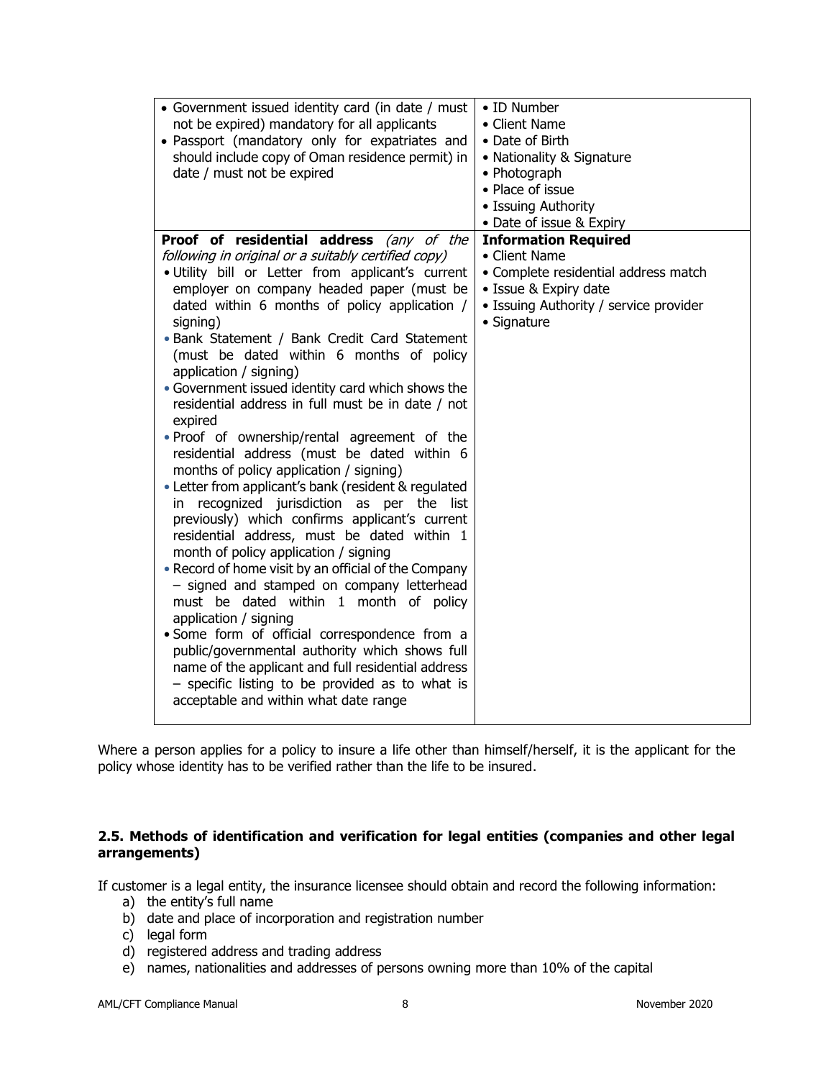| • Government issued identity card (in date / must<br>not be expired) mandatory for all applicants<br>· Passport (mandatory only for expatriates and<br>should include copy of Oman residence permit) in<br>date / must not be expired                                                                                                                                                                                                                                                                                                                                                                                                                                                                                                                      | • ID Number<br>• Client Name<br>• Date of Birth<br>• Nationality & Signature<br>• Photograph<br>• Place of issue<br>• Issuing Authority                                                            |
|------------------------------------------------------------------------------------------------------------------------------------------------------------------------------------------------------------------------------------------------------------------------------------------------------------------------------------------------------------------------------------------------------------------------------------------------------------------------------------------------------------------------------------------------------------------------------------------------------------------------------------------------------------------------------------------------------------------------------------------------------------|----------------------------------------------------------------------------------------------------------------------------------------------------------------------------------------------------|
| Proof of residential address (any of the<br>following in original or a suitably certified copy)<br>. Utility bill or Letter from applicant's current<br>employer on company headed paper (must be<br>dated within 6 months of policy application /<br>signing)<br>. Bank Statement / Bank Credit Card Statement<br>(must be dated within 6 months of policy<br>application / signing)<br>• Government issued identity card which shows the<br>residential address in full must be in date / not<br>expired<br>. Proof of ownership/rental agreement of the<br>residential address (must be dated within 6<br>months of policy application / signing)<br>• Letter from applicant's bank (resident & regulated<br>in recognized jurisdiction as per the list | • Date of issue & Expiry<br><b>Information Required</b><br>• Client Name<br>• Complete residential address match<br>• Issue & Expiry date<br>• Issuing Authority / service provider<br>• Signature |
| previously) which confirms applicant's current<br>residential address, must be dated within 1<br>month of policy application / signing<br>• Record of home visit by an official of the Company<br>- signed and stamped on company letterhead<br>must be dated within 1 month of policy<br>application / signing<br>· Some form of official correspondence from a<br>public/governmental authority which shows full<br>name of the applicant and full residential address<br>$-$ specific listing to be provided as to what is<br>acceptable and within what date range                                                                                                                                                                                     |                                                                                                                                                                                                    |

Where a person applies for a policy to insure a life other than himself/herself, it is the applicant for the policy whose identity has to be verified rather than the life to be insured.

### <span id="page-7-0"></span>**2.5. Methods of identification and verification for legal entities (companies and other legal arrangements)**

If customer is a legal entity, the insurance licensee should obtain and record the following information:

- a) the entity's full name
- b) date and place of incorporation and registration number
- c) legal form
- d) registered address and trading address
- e) names, nationalities and addresses of persons owning more than 10% of the capital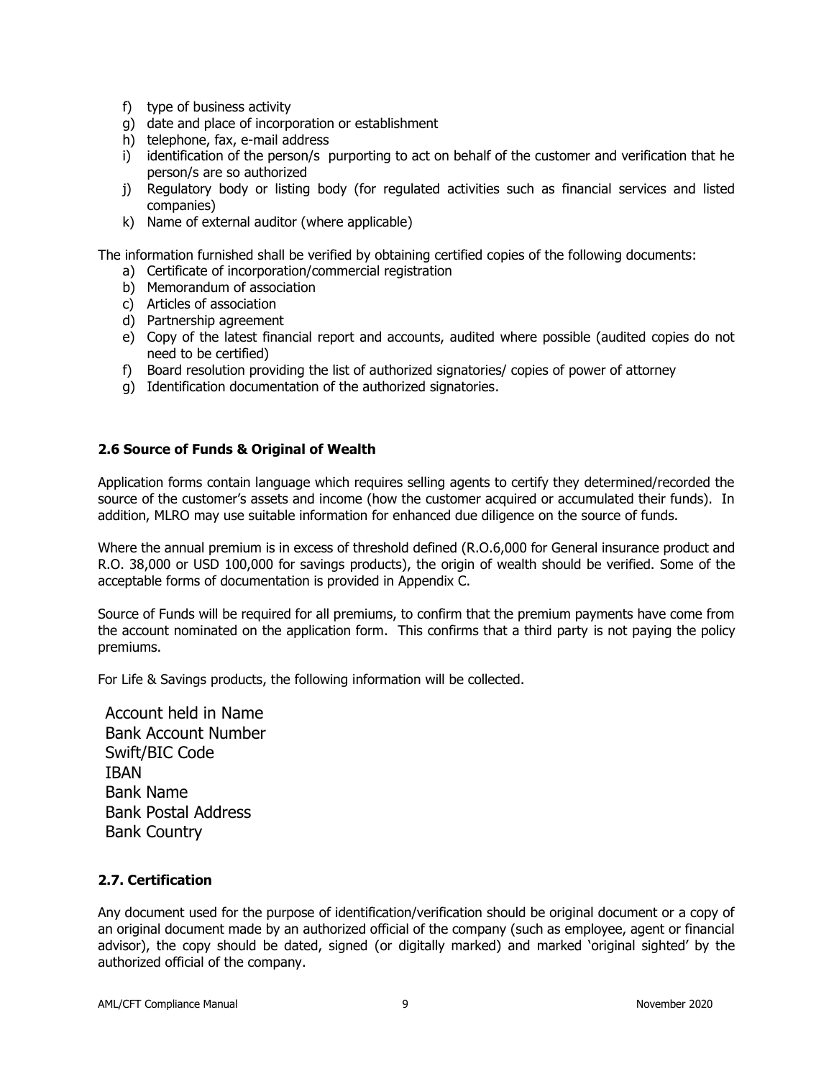- f) type of business activity
- g) date and place of incorporation or establishment
- h) telephone, fax, e-mail address
- i) identification of the person/s purporting to act on behalf of the customer and verification that he person/s are so authorized
- j) Regulatory body or listing body (for regulated activities such as financial services and listed companies)
- k) Name of external auditor (where applicable)

The information furnished shall be verified by obtaining certified copies of the following documents:

- a) Certificate of incorporation/commercial registration
- b) Memorandum of association
- c) Articles of association
- d) Partnership agreement
- e) Copy of the latest financial report and accounts, audited where possible (audited copies do not need to be certified)
- f) Board resolution providing the list of authorized signatories/ copies of power of attorney
- g) Identification documentation of the authorized signatories.

### <span id="page-8-0"></span>**2.6 Source of Funds & Original of Wealth**

Application forms contain language which requires selling agents to certify they determined/recorded the source of the customer's assets and income (how the customer acquired or accumulated their funds). In addition, MLRO may use suitable information for enhanced due diligence on the source of funds.

Where the annual premium is in excess of threshold defined (R.O.6,000 for General insurance product and R.O. 38,000 or USD 100,000 for savings products), the origin of wealth should be verified. Some of the acceptable forms of documentation is provided in Appendix C.

Source of Funds will be required for all premiums, to confirm that the premium payments have come from the account nominated on the application form. This confirms that a third party is not paying the policy premiums.

For Life & Savings products, the following information will be collected.

Account held in Name Bank Account Number Swift/BIC Code IBAN Bank Name Bank Postal Address Bank Country

### <span id="page-8-1"></span>**2.7. Certification**

Any document used for the purpose of identification/verification should be original document or a copy of an original document made by an authorized official of the company (such as employee, agent or financial advisor), the copy should be dated, signed (or digitally marked) and marked 'original sighted' by the authorized official of the company.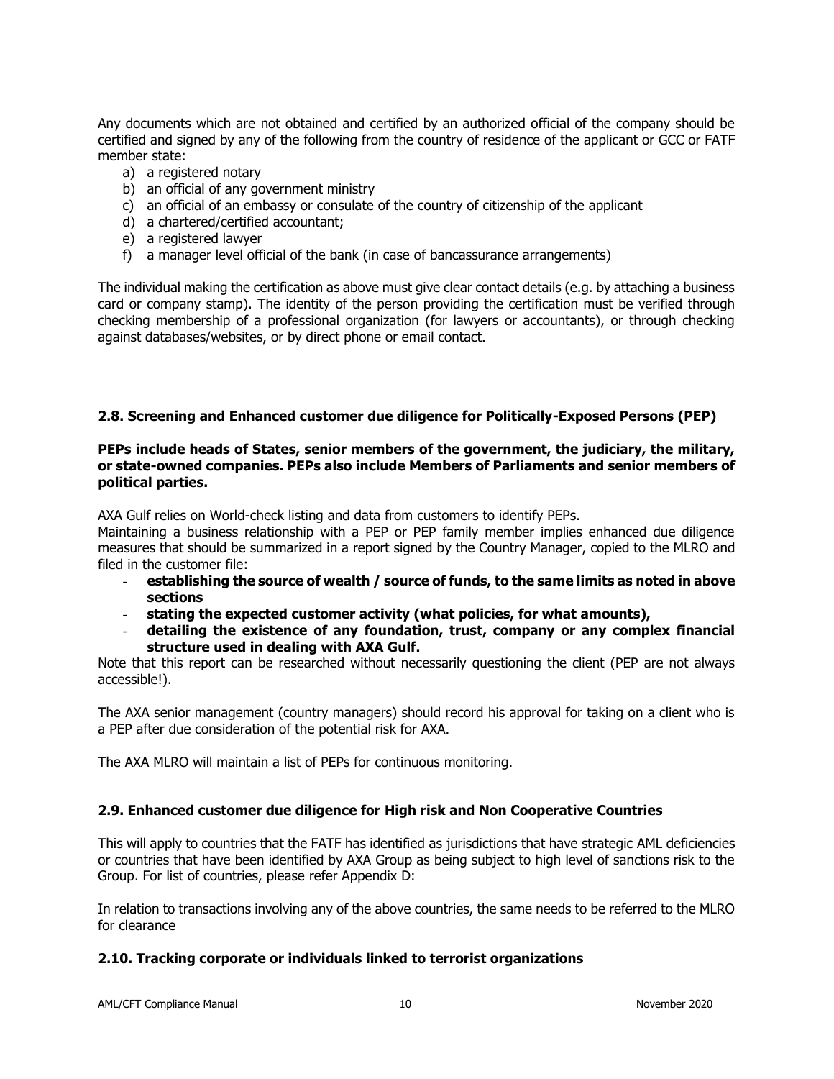Any documents which are not obtained and certified by an authorized official of the company should be certified and signed by any of the following from the country of residence of the applicant or GCC or FATF member state:

- a) a registered notary
- b) an official of any government ministry
- c) an official of an embassy or consulate of the country of citizenship of the applicant
- d) a chartered/certified accountant;
- e) a registered lawyer
- f) a manager level official of the bank (in case of bancassurance arrangements)

The individual making the certification as above must give clear contact details (e.g. by attaching a business card or company stamp). The identity of the person providing the certification must be verified through checking membership of a professional organization (for lawyers or accountants), or through checking against databases/websites, or by direct phone or email contact.

### <span id="page-9-0"></span>**2.8. Screening and Enhanced customer due diligence for Politically-Exposed Persons (PEP)**

#### **PEPs include heads of States, senior members of the government, the judiciary, the military, or state-owned companies. PEPs also include Members of Parliaments and senior members of political parties.**

AXA Gulf relies on World-check listing and data from customers to identify PEPs.

Maintaining a business relationship with a PEP or PEP family member implies enhanced due diligence measures that should be summarized in a report signed by the Country Manager, copied to the MLRO and filed in the customer file:

- **establishing the source of wealth / source of funds, to the same limits as noted in above sections**
- **stating the expected customer activity (what policies, for what amounts),**
- **detailing the existence of any foundation, trust, company or any complex financial structure used in dealing with AXA Gulf.**

Note that this report can be researched without necessarily questioning the client (PEP are not always accessible!).

The AXA senior management (country managers) should record his approval for taking on a client who is a PEP after due consideration of the potential risk for AXA.

The AXA MLRO will maintain a list of PEPs for continuous monitoring.

### <span id="page-9-1"></span>**2.9. Enhanced customer due diligence for High risk and Non Cooperative Countries**

This will apply to countries that the FATF has identified as jurisdictions that have strategic AML deficiencies or countries that have been identified by AXA Group as being subject to high level of sanctions risk to the Group. For list of countries, please refer Appendix D:

In relation to transactions involving any of the above countries, the same needs to be referred to the MLRO for clearance

### <span id="page-9-2"></span>**2.10. Tracking corporate or individuals linked to terrorist organizations**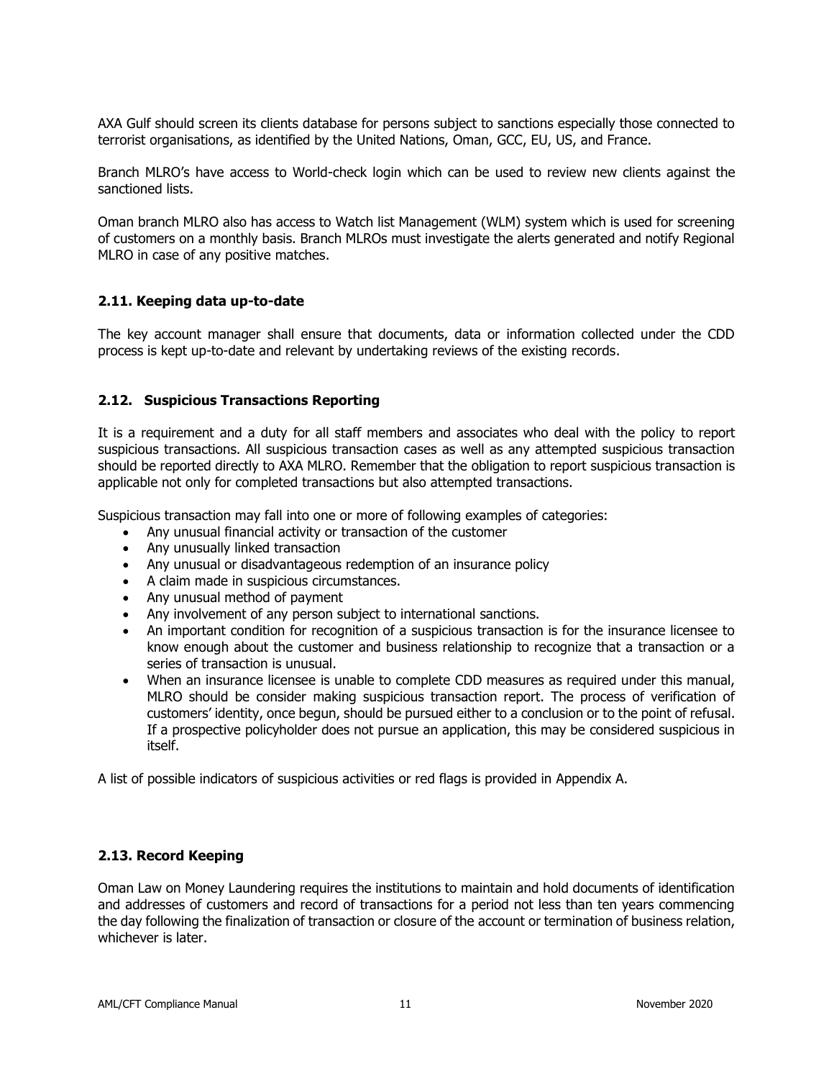AXA Gulf should screen its clients database for persons subject to sanctions especially those connected to terrorist organisations, as identified by the United Nations, Oman, GCC, EU, US, and France.

Branch MLRO's have access to World-check login which can be used to review new clients against the sanctioned lists.

Oman branch MLRO also has access to Watch list Management (WLM) system which is used for screening of customers on a monthly basis. Branch MLROs must investigate the alerts generated and notify Regional MLRO in case of any positive matches.

#### <span id="page-10-0"></span>**2.11. Keeping data up-to-date**

The key account manager shall ensure that documents, data or information collected under the CDD process is kept up-to-date and relevant by undertaking reviews of the existing records.

#### <span id="page-10-1"></span>**2.12. Suspicious Transactions Reporting**

It is a requirement and a duty for all staff members and associates who deal with the policy to report suspicious transactions. All suspicious transaction cases as well as any attempted suspicious transaction should be reported directly to AXA MLRO. Remember that the obligation to report suspicious transaction is applicable not only for completed transactions but also attempted transactions.

Suspicious transaction may fall into one or more of following examples of categories:

- Any unusual financial activity or transaction of the customer
- Any unusually linked transaction
- Any unusual or disadvantageous redemption of an insurance policy
- A claim made in suspicious circumstances.
- Any unusual method of payment
- Any involvement of any person subject to international sanctions.
- An important condition for recognition of a suspicious transaction is for the insurance licensee to know enough about the customer and business relationship to recognize that a transaction or a series of transaction is unusual.
- When an insurance licensee is unable to complete CDD measures as required under this manual, MLRO should be consider making suspicious transaction report. The process of verification of customers' identity, once begun, should be pursued either to a conclusion or to the point of refusal. If a prospective policyholder does not pursue an application, this may be considered suspicious in itself.

A list of possible indicators of suspicious activities or red flags is provided in Appendix A.

#### <span id="page-10-2"></span>**2.13. Record Keeping**

Oman Law on Money Laundering requires the institutions to maintain and hold documents of identification and addresses of customers and record of transactions for a period not less than ten years commencing the day following the finalization of transaction or closure of the account or termination of business relation, whichever is later.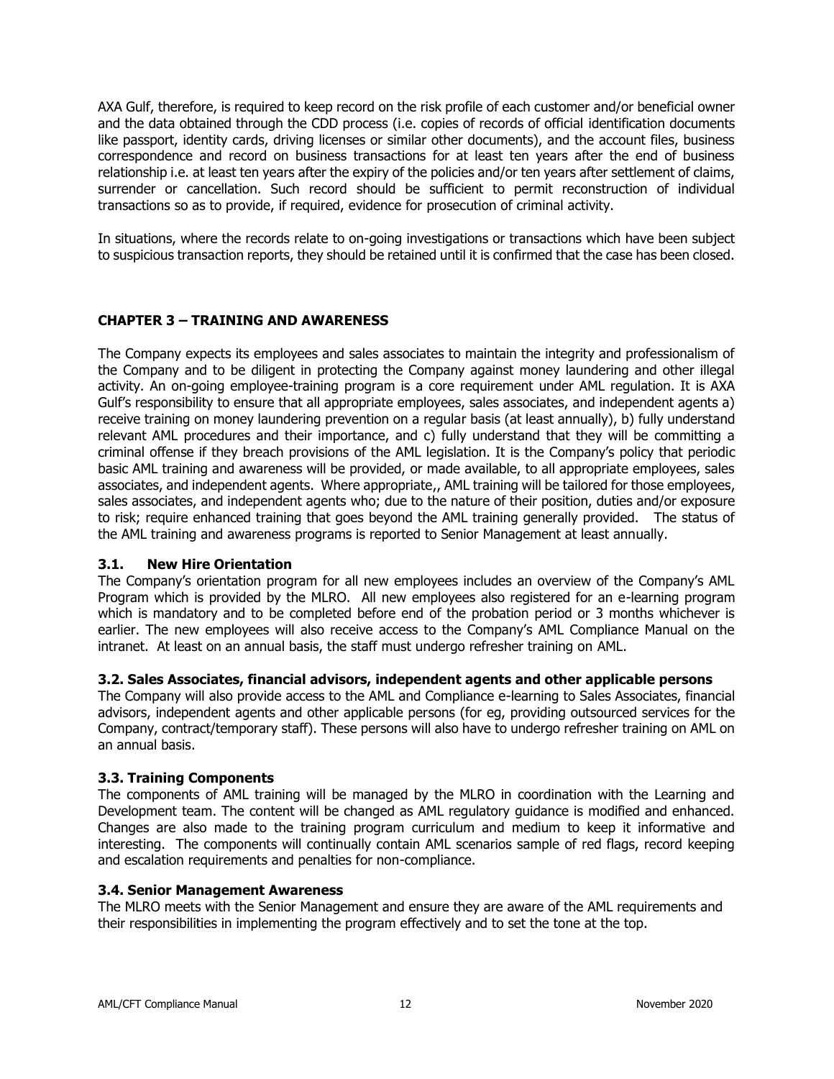AXA Gulf, therefore, is required to keep record on the risk profile of each customer and/or beneficial owner and the data obtained through the CDD process (i.e. copies of records of official identification documents like passport, identity cards, driving licenses or similar other documents), and the account files, business correspondence and record on business transactions for at least ten years after the end of business relationship i.e. at least ten years after the expiry of the policies and/or ten years after settlement of claims, surrender or cancellation. Such record should be sufficient to permit reconstruction of individual transactions so as to provide, if required, evidence for prosecution of criminal activity.

In situations, where the records relate to on-going investigations or transactions which have been subject to suspicious transaction reports, they should be retained until it is confirmed that the case has been closed.

#### <span id="page-11-0"></span>**CHAPTER 3 – TRAINING AND AWARENESS**

The Company expects its employees and sales associates to maintain the integrity and professionalism of the Company and to be diligent in protecting the Company against money laundering and other illegal activity. An on-going employee-training program is a core requirement under AML regulation. It is AXA Gulf's responsibility to ensure that all appropriate employees, sales associates, and independent agents a) receive training on money laundering prevention on a regular basis (at least annually), b) fully understand relevant AML procedures and their importance, and c) fully understand that they will be committing a criminal offense if they breach provisions of the AML legislation. It is the Company's policy that periodic basic AML training and awareness will be provided, or made available, to all appropriate employees, sales associates, and independent agents. Where appropriate,, AML training will be tailored for those employees, sales associates, and independent agents who; due to the nature of their position, duties and/or exposure to risk; require enhanced training that goes beyond the AML training generally provided. The status of the AML training and awareness programs is reported to Senior Management at least annually.

#### <span id="page-11-1"></span>**3.1. New Hire Orientation**

The Company's orientation program for all new employees includes an overview of the Company's AML Program which is provided by the MLRO. All new employees also registered for an e-learning program which is mandatory and to be completed before end of the probation period or 3 months whichever is earlier. The new employees will also receive access to the Company's AML Compliance Manual on the intranet. At least on an annual basis, the staff must undergo refresher training on AML.

#### <span id="page-11-2"></span>**3.2. Sales Associates, financial advisors, independent agents and other applicable persons**

The Company will also provide access to the AML and Compliance e-learning to Sales Associates, financial advisors, independent agents and other applicable persons (for eg, providing outsourced services for the Company, contract/temporary staff). These persons will also have to undergo refresher training on AML on an annual basis.

#### <span id="page-11-3"></span>**3.3. Training Components**

The components of AML training will be managed by the MLRO in coordination with the Learning and Development team. The content will be changed as AML regulatory guidance is modified and enhanced. Changes are also made to the training program curriculum and medium to keep it informative and interesting. The components will continually contain AML scenarios sample of red flags, record keeping and escalation requirements and penalties for non-compliance.

#### <span id="page-11-4"></span>**3.4. Senior Management Awareness**

The MLRO meets with the Senior Management and ensure they are aware of the AML requirements and their responsibilities in implementing the program effectively and to set the tone at the top.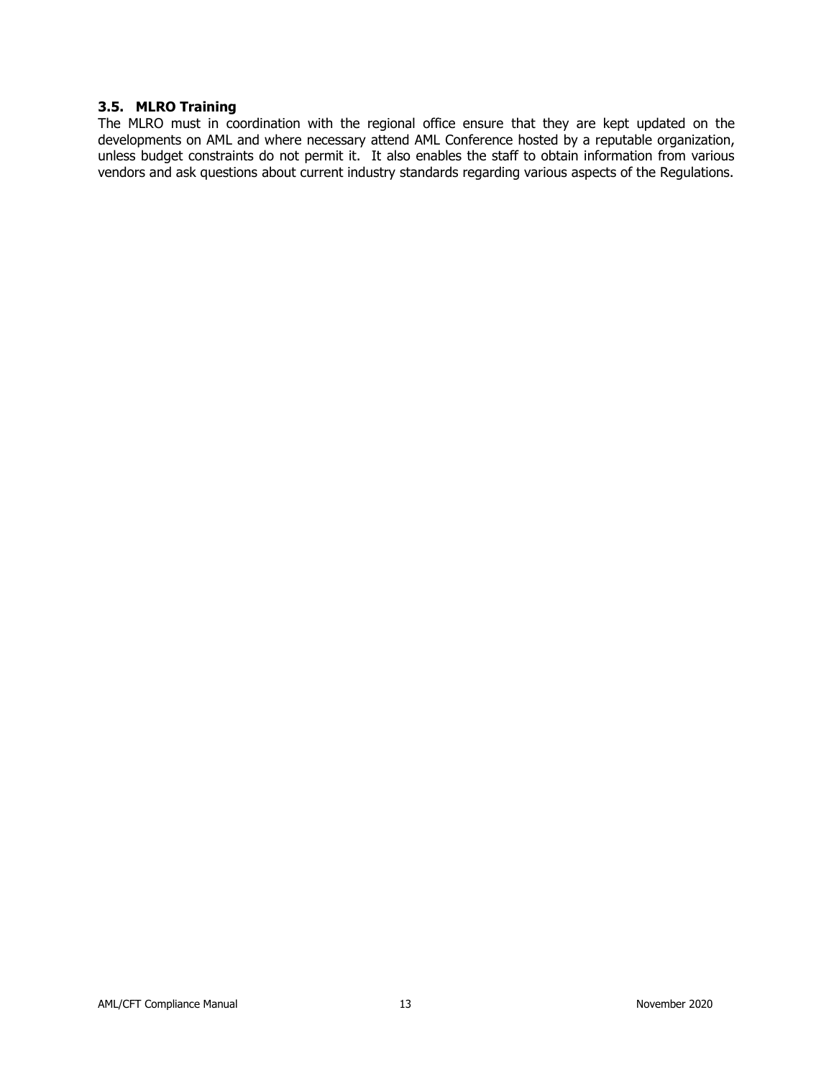### <span id="page-12-0"></span>**3.5. MLRO Training**

The MLRO must in coordination with the regional office ensure that they are kept updated on the developments on AML and where necessary attend AML Conference hosted by a reputable organization, unless budget constraints do not permit it. It also enables the staff to obtain information from various vendors and ask questions about current industry standards regarding various aspects of the Regulations.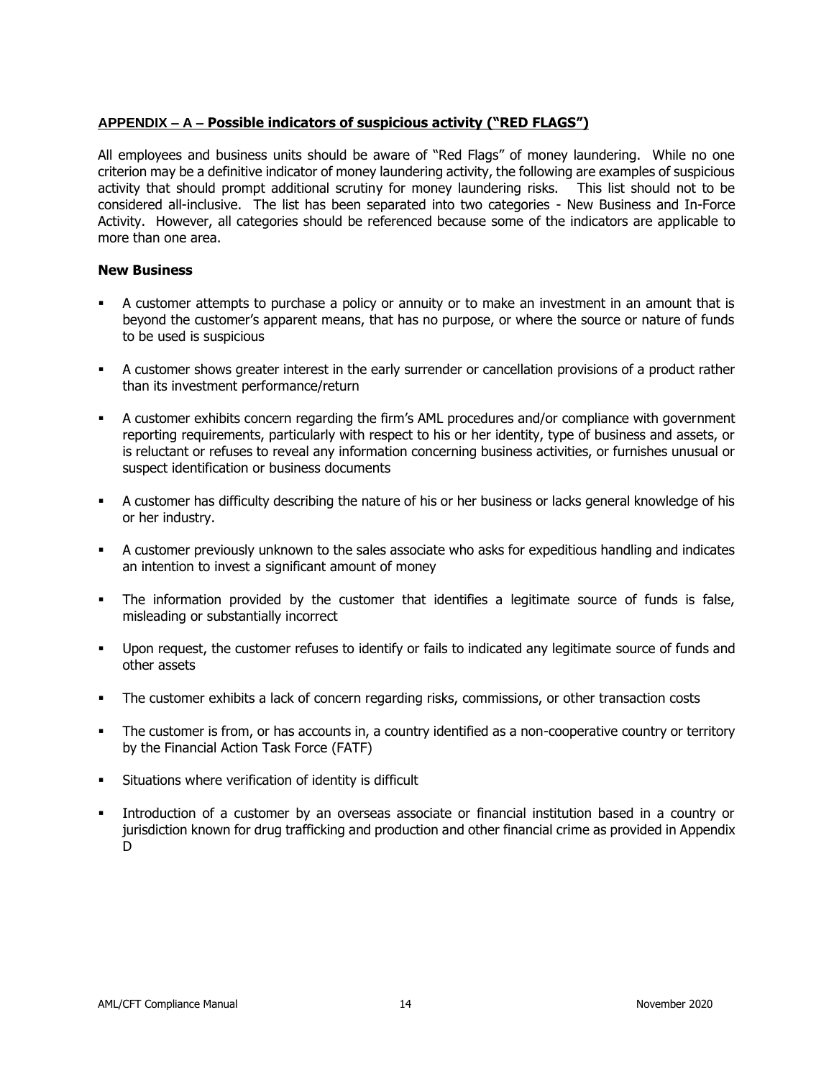### <span id="page-13-0"></span>**APPENDIX – A – Possible indicators of suspicious activity ("RED FLAGS")**

All employees and business units should be aware of "Red Flags" of money laundering. While no one criterion may be a definitive indicator of money laundering activity, the following are examples of suspicious activity that should prompt additional scrutiny for money laundering risks. This list should not to be considered all-inclusive. The list has been separated into two categories - New Business and In-Force Activity. However, all categories should be referenced because some of the indicators are applicable to more than one area.

### **New Business**

- A customer attempts to purchase a policy or annuity or to make an investment in an amount that is beyond the customer's apparent means, that has no purpose, or where the source or nature of funds to be used is suspicious
- A customer shows greater interest in the early surrender or cancellation provisions of a product rather than its investment performance/return
- A customer exhibits concern regarding the firm's AML procedures and/or compliance with government reporting requirements, particularly with respect to his or her identity, type of business and assets, or is reluctant or refuses to reveal any information concerning business activities, or furnishes unusual or suspect identification or business documents
- **•** A customer has difficulty describing the nature of his or her business or lacks general knowledge of his or her industry.
- A customer previously unknown to the sales associate who asks for expeditious handling and indicates an intention to invest a significant amount of money
- The information provided by the customer that identifies a legitimate source of funds is false, misleading or substantially incorrect
- Upon request, the customer refuses to identify or fails to indicated any legitimate source of funds and other assets
- The customer exhibits a lack of concern regarding risks, commissions, or other transaction costs
- The customer is from, or has accounts in, a country identified as a non-cooperative country or territory by the Financial Action Task Force (FATF)
- Situations where verification of identity is difficult
- Introduction of a customer by an overseas associate or financial institution based in a country or jurisdiction known for drug trafficking and production and other financial crime as provided in Appendix D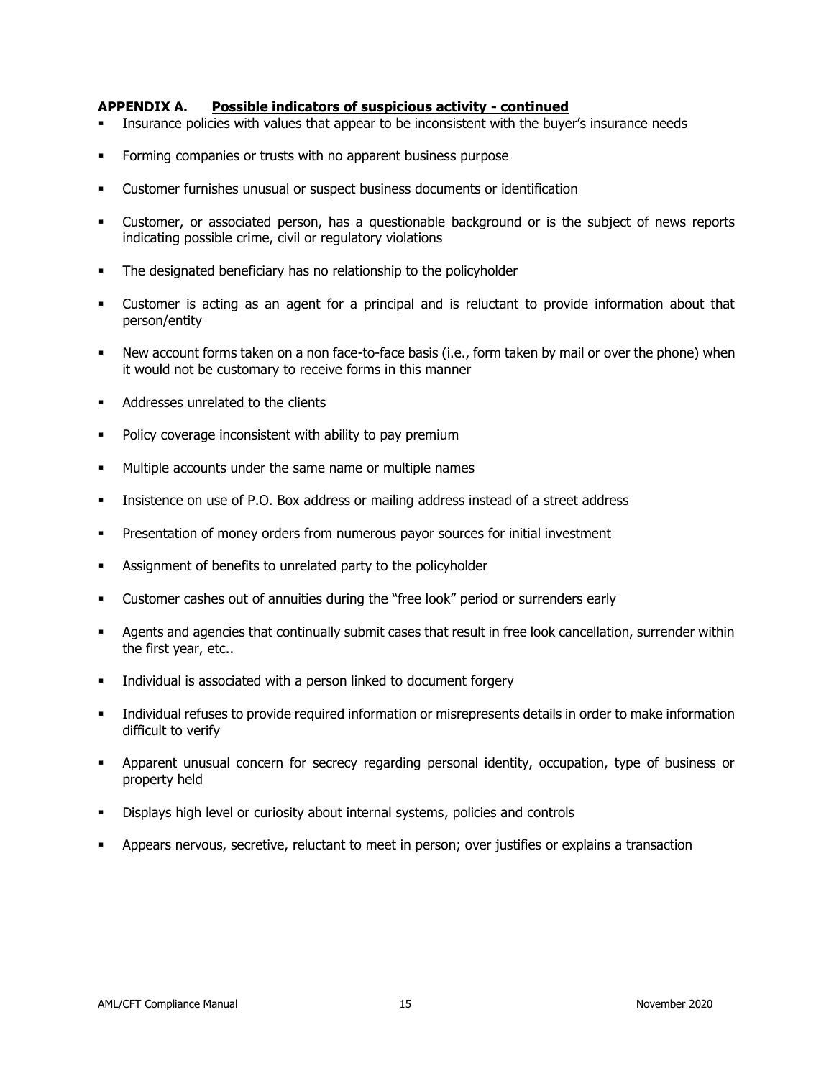#### **APPENDIX A. Possible indicators of suspicious activity - continued**

- Insurance policies with values that appear to be inconsistent with the buyer's insurance needs
- Forming companies or trusts with no apparent business purpose
- Customer furnishes unusual or suspect business documents or identification
- Customer, or associated person, has a questionable background or is the subject of news reports indicating possible crime, civil or regulatory violations
- The designated beneficiary has no relationship to the policyholder
- Customer is acting as an agent for a principal and is reluctant to provide information about that person/entity
- New account forms taken on a non face-to-face basis (i.e., form taken by mail or over the phone) when it would not be customary to receive forms in this manner
- Addresses unrelated to the clients
- Policy coverage inconsistent with ability to pay premium
- Multiple accounts under the same name or multiple names
- Insistence on use of P.O. Box address or mailing address instead of a street address
- Presentation of money orders from numerous payor sources for initial investment
- Assignment of benefits to unrelated party to the policyholder
- Customer cashes out of annuities during the "free look" period or surrenders early
- Agents and agencies that continually submit cases that result in free look cancellation, surrender within the first year, etc..
- Individual is associated with a person linked to document forgery
- Individual refuses to provide required information or misrepresents details in order to make information difficult to verify
- Apparent unusual concern for secrecy regarding personal identity, occupation, type of business or property held
- Displays high level or curiosity about internal systems, policies and controls
- Appears nervous, secretive, reluctant to meet in person; over justifies or explains a transaction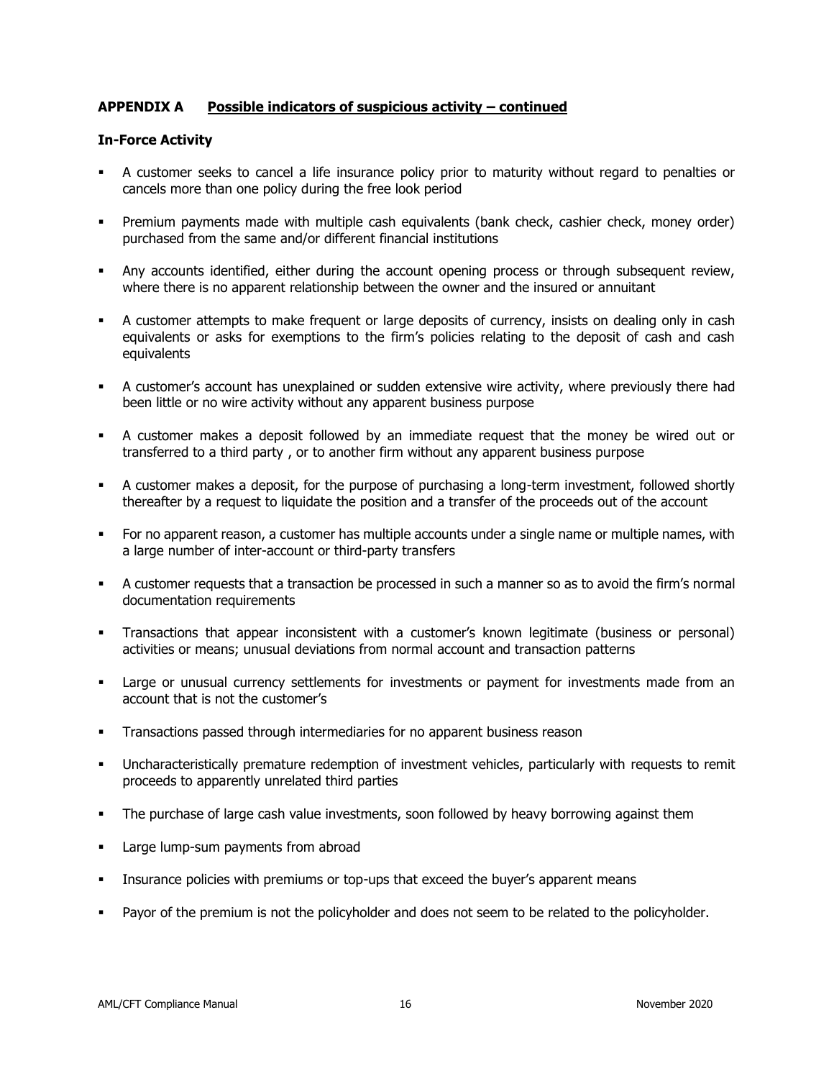### **APPENDIX A Possible indicators of suspicious activity – continued**

### **In-Force Activity**

- A customer seeks to cancel a life insurance policy prior to maturity without regard to penalties or cancels more than one policy during the free look period
- Premium payments made with multiple cash equivalents (bank check, cashier check, money order) purchased from the same and/or different financial institutions
- Any accounts identified, either during the account opening process or through subsequent review, where there is no apparent relationship between the owner and the insured or annuitant
- A customer attempts to make frequent or large deposits of currency, insists on dealing only in cash equivalents or asks for exemptions to the firm's policies relating to the deposit of cash and cash equivalents
- **•** A customer's account has unexplained or sudden extensive wire activity, where previously there had been little or no wire activity without any apparent business purpose
- A customer makes a deposit followed by an immediate request that the money be wired out or transferred to a third party , or to another firm without any apparent business purpose
- A customer makes a deposit, for the purpose of purchasing a long-term investment, followed shortly thereafter by a request to liquidate the position and a transfer of the proceeds out of the account
- **•** For no apparent reason, a customer has multiple accounts under a single name or multiple names, with a large number of inter-account or third-party transfers
- A customer requests that a transaction be processed in such a manner so as to avoid the firm's normal documentation requirements
- Transactions that appear inconsistent with a customer's known legitimate (business or personal) activities or means; unusual deviations from normal account and transaction patterns
- **EXECT** Large or unusual currency settlements for investments or payment for investments made from an account that is not the customer's
- Transactions passed through intermediaries for no apparent business reason
- Uncharacteristically premature redemption of investment vehicles, particularly with requests to remit proceeds to apparently unrelated third parties
- **•** The purchase of large cash value investments, soon followed by heavy borrowing against them
- Large lump-sum payments from abroad
- **•** Insurance policies with premiums or top-ups that exceed the buyer's apparent means
- Payor of the premium is not the policyholder and does not seem to be related to the policyholder.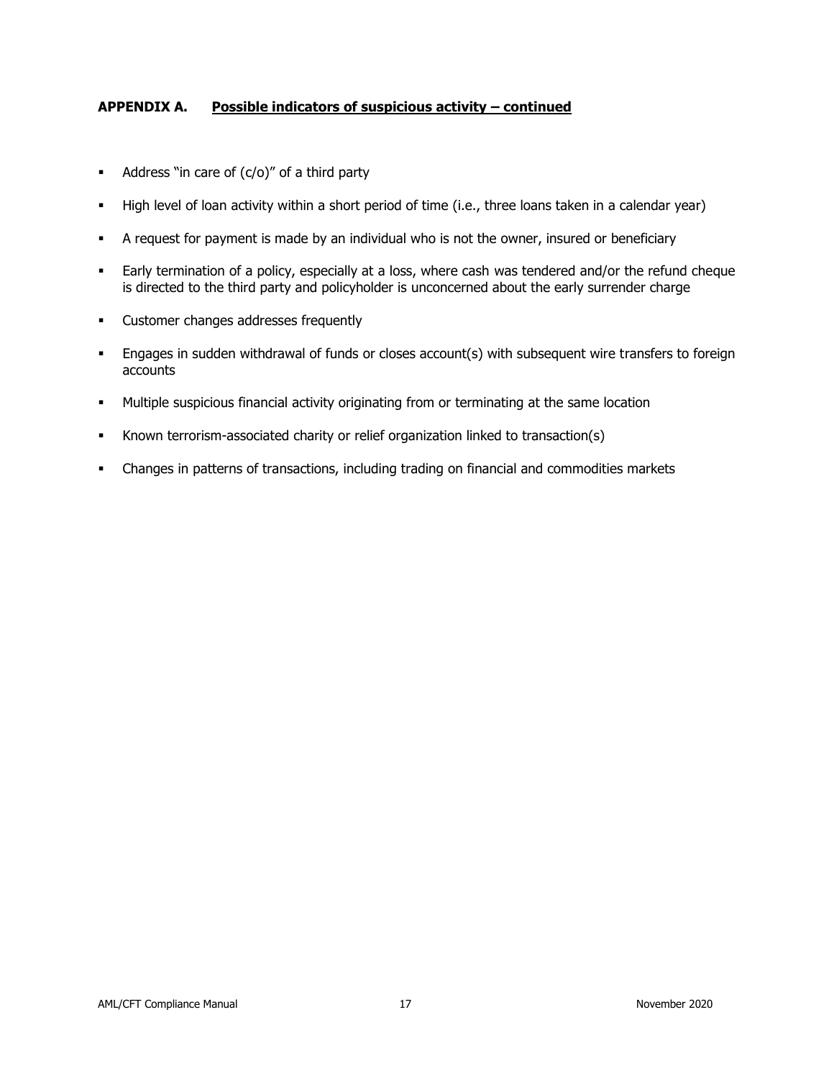### **APPENDIX A. Possible indicators of suspicious activity – continued**

- $\blacksquare$  Address "in care of  $(c/o)$ " of a third party
- High level of loan activity within a short period of time (i.e., three loans taken in a calendar year)
- A request for payment is made by an individual who is not the owner, insured or beneficiary
- **Early termination of a policy, especially at a loss, where cash was tendered and/or the refund cheque** is directed to the third party and policyholder is unconcerned about the early surrender charge
- Customer changes addresses frequently
- **Engages in sudden withdrawal of funds or closes account(s) with subsequent wire transfers to foreign** accounts
- Multiple suspicious financial activity originating from or terminating at the same location
- Known terrorism-associated charity or relief organization linked to transaction(s)
- Changes in patterns of transactions, including trading on financial and commodities markets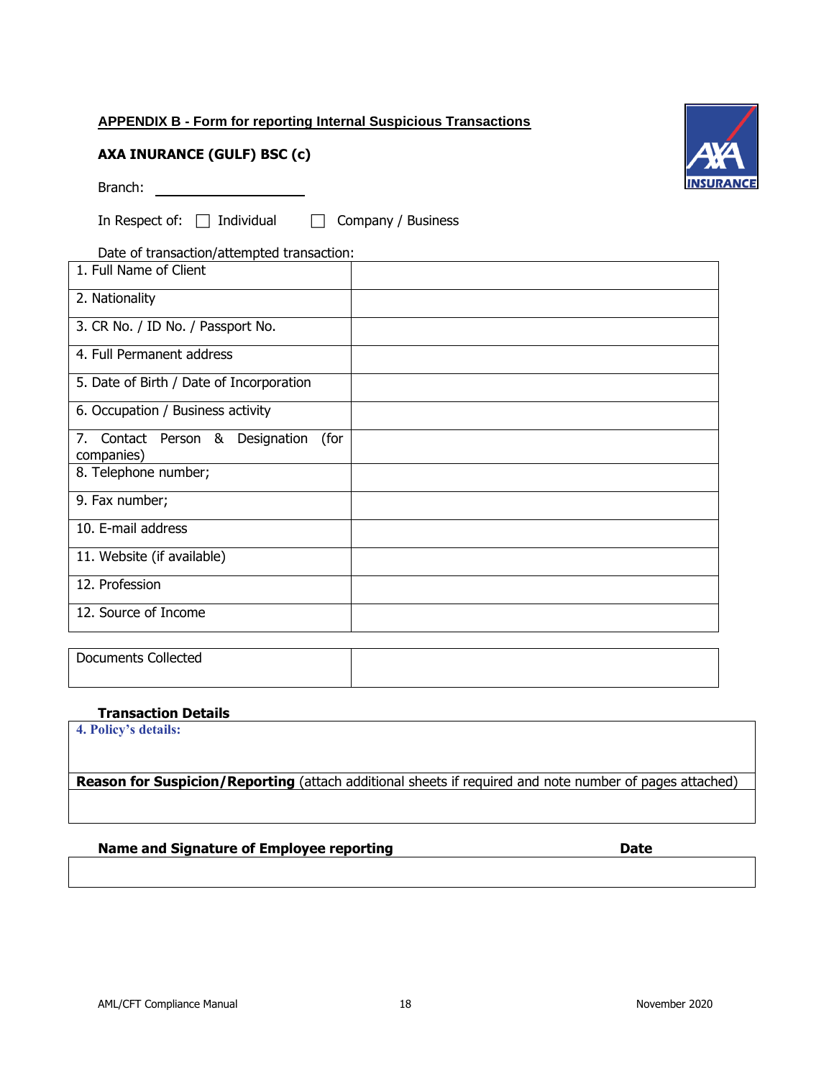# <span id="page-17-0"></span>**APPENDIX B - Form for reporting Internal Suspicious Transactions**

# **AXA INURANCE (GULF) BSC (c)**

Branch: **Branch: Branch: Branch: Branch: Branch: Branch: Branch: Branch: Branch: Branch: Branch: Branch: Branch: Branch: Branch: Branch: Branch: Branch: Branch: Branch: Branch: Bra** 

In Respect of:  $\Box$  Individual  $\Box$  Company / Business

Date of transaction/attempted transaction:

| 1. Full Name of Client                                |  |
|-------------------------------------------------------|--|
| 2. Nationality                                        |  |
| 3. CR No. / ID No. / Passport No.                     |  |
| 4. Full Permanent address                             |  |
| 5. Date of Birth / Date of Incorporation              |  |
| 6. Occupation / Business activity                     |  |
| 7. Contact Person & Designation<br>(for<br>companies) |  |
| 8. Telephone number;                                  |  |
| 9. Fax number;                                        |  |
| 10. E-mail address                                    |  |
| 11. Website (if available)                            |  |
| 12. Profession                                        |  |
| 12. Source of Income                                  |  |

Documents Collected

### **Transaction Details**

**4. Policy's details:**

**Reason for Suspicion/Reporting** (attach additional sheets if required and note number of pages attached)

### **Name and Signature of Employee reporting discussed and Signature of Employee reporting discussed and Date**

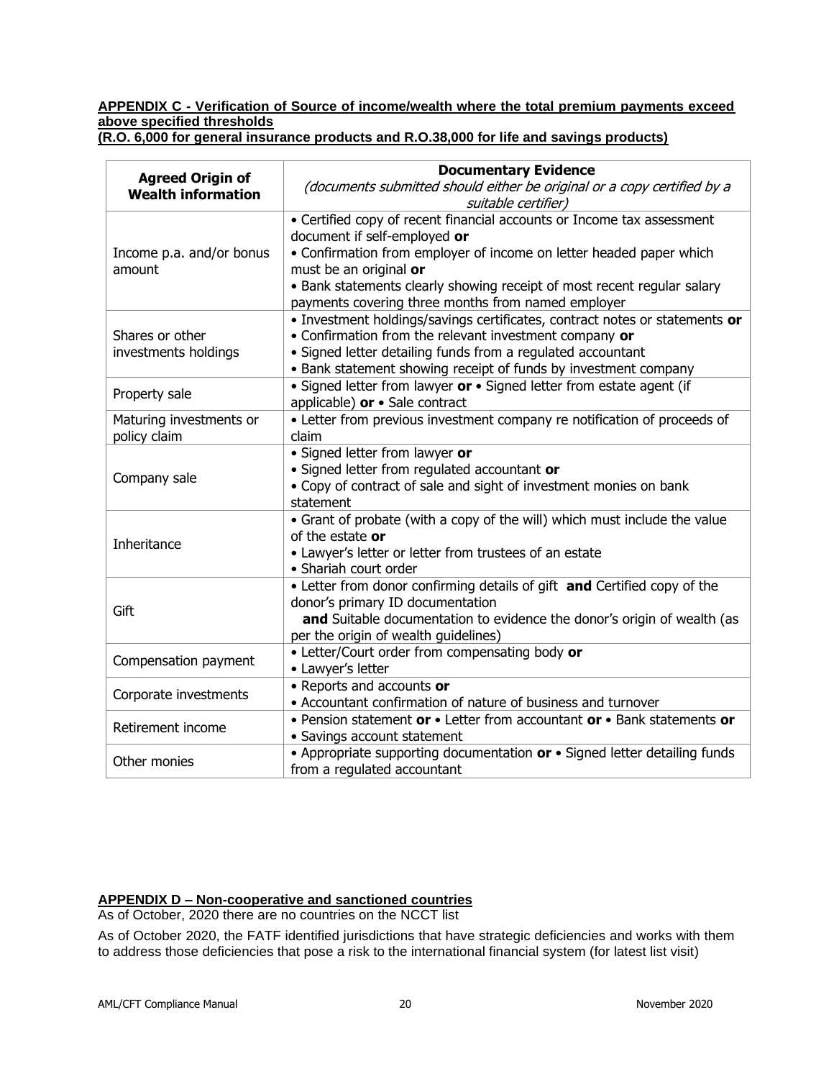# <span id="page-19-0"></span>**APPENDIX C - Verification of Source of income/wealth where the total premium payments exceed above specified thresholds**

| <b>Agreed Origin of</b>   | <b>Documentary Evidence</b>                                                                                                    |
|---------------------------|--------------------------------------------------------------------------------------------------------------------------------|
| <b>Wealth information</b> | (documents submitted should either be original or a copy certified by a<br>suitable certifier)                                 |
|                           | • Certified copy of recent financial accounts or Income tax assessment                                                         |
|                           | document if self-employed or                                                                                                   |
| Income p.a. and/or bonus  | • Confirmation from employer of income on letter headed paper which                                                            |
| amount                    | must be an original or                                                                                                         |
|                           | • Bank statements clearly showing receipt of most recent regular salary                                                        |
|                           | payments covering three months from named employer                                                                             |
|                           | · Investment holdings/savings certificates, contract notes or statements or                                                    |
| Shares or other           | • Confirmation from the relevant investment company or                                                                         |
| investments holdings      | · Signed letter detailing funds from a regulated accountant<br>• Bank statement showing receipt of funds by investment company |
|                           | • Signed letter from lawyer or • Signed letter from estate agent (if                                                           |
| Property sale             | applicable) or • Sale contract                                                                                                 |
| Maturing investments or   | • Letter from previous investment company re notification of proceeds of                                                       |
| policy claim              | claim                                                                                                                          |
|                           | · Signed letter from lawyer or                                                                                                 |
|                           | · Signed letter from regulated accountant or                                                                                   |
| Company sale              | • Copy of contract of sale and sight of investment monies on bank                                                              |
|                           | statement                                                                                                                      |
|                           | • Grant of probate (with a copy of the will) which must include the value                                                      |
|                           | of the estate or                                                                                                               |
| Inheritance               | • Lawyer's letter or letter from trustees of an estate                                                                         |
|                           | • Shariah court order                                                                                                          |
|                           | • Letter from donor confirming details of gift and Certified copy of the                                                       |
| Gift                      | donor's primary ID documentation                                                                                               |
|                           | and Suitable documentation to evidence the donor's origin of wealth (as                                                        |
|                           | per the origin of wealth guidelines)                                                                                           |
| Compensation payment      | • Letter/Court order from compensating body or                                                                                 |
|                           | • Lawyer's letter                                                                                                              |
| Corporate investments     | • Reports and accounts or                                                                                                      |
|                           | • Accountant confirmation of nature of business and turnover                                                                   |
| Retirement income         | • Pension statement or • Letter from accountant or • Bank statements or                                                        |
|                           | · Savings account statement                                                                                                    |
| Other monies              | • Appropriate supporting documentation or • Signed letter detailing funds                                                      |
|                           | from a regulated accountant                                                                                                    |

**(R.O. 6,000 for general insurance products and R.O.38,000 for life and savings products)**

# <span id="page-19-1"></span>**APPENDIX D – Non-cooperative and sanctioned countries**

As of October, 2020 there are no countries on the NCCT list

As of October 2020, the FATF identified jurisdictions that have strategic deficiencies and works with them to address those deficiencies that pose a risk to the international financial system (for latest list visit)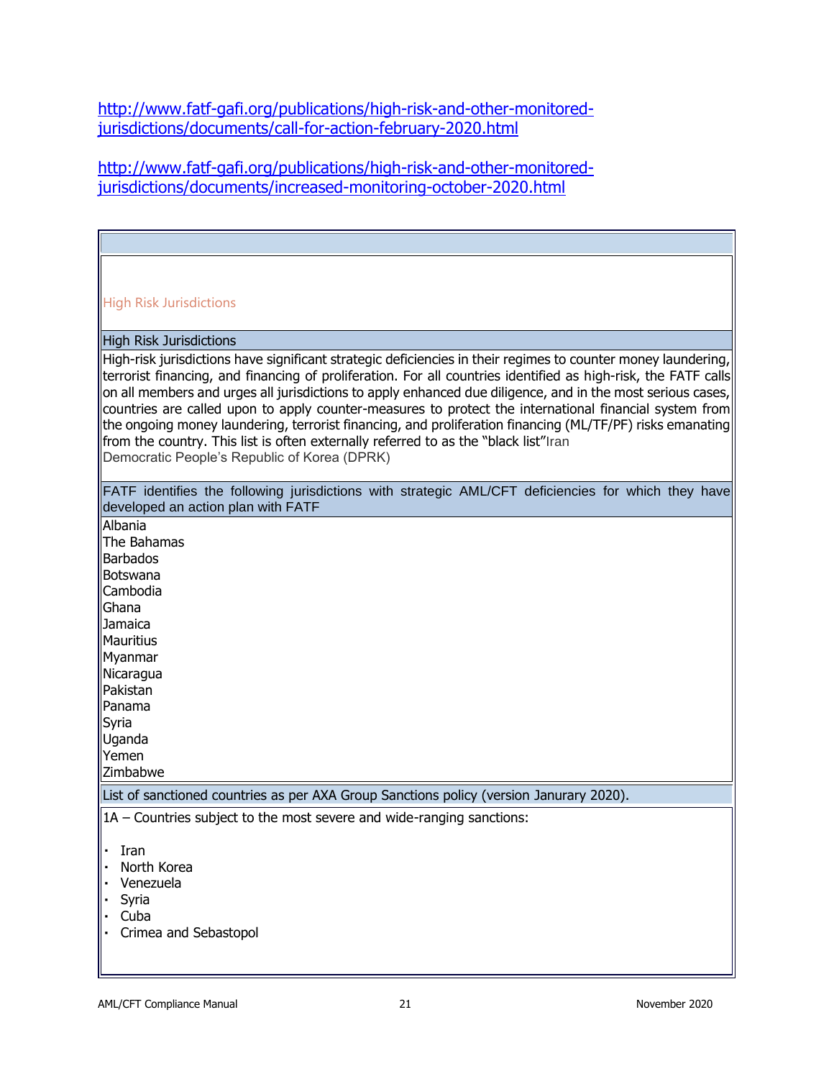[http://www.fatf-gafi.org/publications/high-risk-and-other-monitored](http://www.fatf-gafi.org/publications/high-risk-and-other-monitored-jurisdictions/documents/call-for-action-february-2020.html)[jurisdictions/documents/call-for-action-february-2020.html](http://www.fatf-gafi.org/publications/high-risk-and-other-monitored-jurisdictions/documents/call-for-action-february-2020.html)

[http://www.fatf-gafi.org/publications/high-risk-and-other-monitored](http://www.fatf-gafi.org/publications/high-risk-and-other-monitored-jurisdictions/documents/increased-monitoring-october-2020.html)[jurisdictions/documents/increased-monitoring-october-2020.html](http://www.fatf-gafi.org/publications/high-risk-and-other-monitored-jurisdictions/documents/increased-monitoring-october-2020.html)

| <b>High Risk Jurisdictions</b>                                                                                                                                                                                                                                                                                                                                                                                                                                                                                                                                                                                                                                                                              |  |  |  |
|-------------------------------------------------------------------------------------------------------------------------------------------------------------------------------------------------------------------------------------------------------------------------------------------------------------------------------------------------------------------------------------------------------------------------------------------------------------------------------------------------------------------------------------------------------------------------------------------------------------------------------------------------------------------------------------------------------------|--|--|--|
| <b>High Risk Jurisdictions</b>                                                                                                                                                                                                                                                                                                                                                                                                                                                                                                                                                                                                                                                                              |  |  |  |
| High-risk jurisdictions have significant strategic deficiencies in their regimes to counter money laundering,<br>terrorist financing, and financing of proliferation. For all countries identified as high-risk, the FATF calls<br>on all members and urges all jurisdictions to apply enhanced due diligence, and in the most serious cases,<br>countries are called upon to apply counter-measures to protect the international financial system from<br>the ongoing money laundering, terrorist financing, and proliferation financing (ML/TF/PF) risks emanating<br>from the country. This list is often externally referred to as the "black list"Iran<br>Democratic People's Republic of Korea (DPRK) |  |  |  |
| FATF identifies the following jurisdictions with strategic AML/CFT deficiencies for which they have<br>developed an action plan with FATF                                                                                                                                                                                                                                                                                                                                                                                                                                                                                                                                                                   |  |  |  |
| Albania<br><b>The Bahamas</b><br>Barbados<br>Botswana<br>Cambodia<br>Ghana<br><b>Jamaica</b><br>llMauritius<br>Myanmar<br>Nicaragua<br>Pakistan<br>Panama<br>Syria<br>Uganda<br>Yemen<br>Zimbabwe                                                                                                                                                                                                                                                                                                                                                                                                                                                                                                           |  |  |  |
| List of sanctioned countries as per AXA Group Sanctions policy (version Janurary 2020).                                                                                                                                                                                                                                                                                                                                                                                                                                                                                                                                                                                                                     |  |  |  |
| $ 1A -$ Countries subject to the most severe and wide-ranging sanctions:                                                                                                                                                                                                                                                                                                                                                                                                                                                                                                                                                                                                                                    |  |  |  |
| Iran<br>North Korea<br>Venezuela<br>Syria<br>Cuba<br>Crimea and Sebastopol                                                                                                                                                                                                                                                                                                                                                                                                                                                                                                                                                                                                                                  |  |  |  |